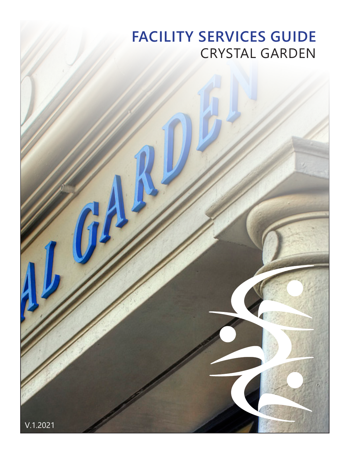# **FACILITY SERVICES GUIDE** CRYSTAL GARDEN

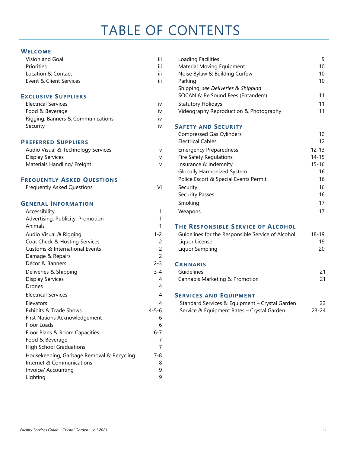#### **WELCOME**

| Vision and Goal                           | iii            | Loading Facilities                                |
|-------------------------------------------|----------------|---------------------------------------------------|
| Priorities                                | iii            | Material Moving Equipment                         |
| Location & Contact                        | iii            | Noise Bylaw & Building Curfew                     |
| Event & Client Services                   | iii            | Parking                                           |
|                                           |                | Shipping, see Deliveries & Shipping               |
| <b>EXCLUSIVE SUPPLIERS</b>                |                | SOCAN & Re:Sound Fees (Entandem)                  |
| <b>Electrical Services</b>                | iv             | <b>Statutory Holidays</b>                         |
| Food & Beverage                           | iv             | Videography Reproduction & Photography            |
| Rigging, Banners & Communications         | İV             |                                                   |
| Security                                  | iv             | <b>SAFETY AND SECURITY</b>                        |
|                                           |                | <b>Compressed Gas Cylinders</b>                   |
| <b>PREFERRED SUPPLIERS</b>                |                | <b>Electrical Cables</b>                          |
| Audio Visual & Technology Services        | v              | <b>Emergency Preparedness</b>                     |
| <b>Display Services</b>                   | v              | <b>Fire Safety Regulations</b>                    |
| Materials Handling/ Freight               | v              | Insurance & Indemnity                             |
|                                           |                | <b>Globally Harmonized System</b>                 |
| <b>FREQUENTLY ASKED QUESTIONS</b>         |                | Police Escort & Special Events Permit             |
| <b>Frequently Asked Questions</b>         | Vi             | Security                                          |
|                                           |                | <b>Security Passes</b>                            |
| <b>GENERAL INFORMATION</b>                |                | Smoking                                           |
| Accessibility                             | 1              | Weapons                                           |
| Advertising, Publicity, Promotion         | 1              |                                                   |
| Animals                                   | 1              | THE RESPONSIBLE SERVICE OF ALCOHOL                |
| Audio Visual & Rigging                    | $1 - 2$        | Guidelines for the Responsible Service of Alcohol |
| Coat Check & Hosting Services             | $\overline{c}$ | Liquor License                                    |
| Customs & International Events            | 2              | Liquor Sampling                                   |
| Damage & Repairs                          | 2              |                                                   |
| Décor & Banners                           | $2 - 3$        | <b>CANNABIS</b>                                   |
| Deliveries & Shipping                     | $3 - 4$        | Guidelines                                        |
| <b>Display Services</b>                   | 4              | Cannabis Marketing & Promotion                    |
| <b>Drones</b>                             | 4              |                                                   |
| <b>Electrical Services</b>                | 4              | <b>SERVICES AND EQUIPMENT</b>                     |
| Elevators                                 | 4              | Standard Services & Equipment - Crystal Garder    |
| Exhibits & Trade Shows                    | $4 - 5 - 6$    | Service & Equipment Rates - Crystal Garden        |
| First Nations Acknowledgement             | 6              |                                                   |
| Floor Loads                               | $\,$ 6         |                                                   |
| Floor Plans & Room Capacities             | $6 - 7$        |                                                   |
| Food & Beverage                           | 7              |                                                   |
| <b>High School Graduations</b>            | $\overline{7}$ |                                                   |
| Housekeeping, Garbage Removal & Recycling | $7 - 8$        |                                                   |
| Internet & Communications                 | 8              |                                                   |
| Invoice/ Accounting                       | 9              |                                                   |
| Lighting                                  | 9              |                                                   |

| <b>WELCOME</b>                     |                |                                                   |           |
|------------------------------------|----------------|---------------------------------------------------|-----------|
| Vision and Goal                    | iii            | Loading Facilities                                | 9         |
| Priorities                         | iii            | Material Moving Equipment                         | 10        |
| Location & Contact                 | iii            | Noise Bylaw & Building Curfew                     | 10        |
| Event & Client Services            | iii            | Parking                                           | 10        |
|                                    |                | Shipping, see Deliveries & Shipping               |           |
| <b>EXCLUSIVE SUPPLIERS</b>         |                | SOCAN & Re:Sound Fees (Entandem)                  | 11        |
| <b>Electrical Services</b>         | iv             | <b>Statutory Holidays</b>                         | 11        |
| Food & Beverage                    | iv             | Videography Reproduction & Photography            | 11        |
| Rigging, Banners & Communications  | iv             |                                                   |           |
| Security                           | iv             | <b>SAFETY AND SECURITY</b>                        |           |
|                                    |                | <b>Compressed Gas Cylinders</b>                   | 12        |
| <b>PREFERRED SUPPLIERS</b>         |                | <b>Electrical Cables</b>                          | 12        |
| Audio Visual & Technology Services | v              | <b>Emergency Preparedness</b>                     | $12 - 13$ |
| <b>Display Services</b>            | V              | <b>Fire Safety Regulations</b>                    | $14 - 15$ |
| Materials Handling/ Freight        | V              | Insurance & Indemnity                             | $15 - 16$ |
|                                    |                | <b>Globally Harmonized System</b>                 | 16        |
| <b>FREQUENTLY ASKED QUESTIONS</b>  |                | Police Escort & Special Events Permit             | 16        |
| <b>Frequently Asked Questions</b>  | Vi             | Security                                          | 16        |
|                                    |                | <b>Security Passes</b>                            | 16        |
| <b>GENERAL INFORMATION</b>         |                | Smoking                                           | 17        |
| Accessibility                      | 1              | Weapons                                           | 17        |
| Advertising, Publicity, Promotion  | 1              |                                                   |           |
| Animals                            | 1              | <b>THE RESPONSIBLE SERVICE OF ALCOHOL</b>         |           |
| Audio Visual & Rigging             | $1 - 2$        | Guidelines for the Responsible Service of Alcohol | $18 - 19$ |
| Coat Check & Hosting Services      | $\overline{c}$ | Liquor License                                    | 19        |
| Customs & International Events     | $\overline{c}$ | Liquor Sampling                                   | 20        |
| Damage & Repairs                   | $\overline{c}$ |                                                   |           |
| Décor & Banners                    | $2 - 3$        | <b>CANNABIS</b>                                   |           |
| Deliveries & Shipping              | $3 - 4$        | Guidelines                                        | 21        |
| <b>Display Services</b>            | 4              | Cannabis Marketing & Promotion                    | 21        |
| <b>Drones</b>                      | 4              |                                                   |           |
| <b>Electrical Services</b>         | 4              | <b>SERVICES AND EQUIPMENT</b>                     |           |

|                        | _________________________ |                                                |           |  |
|------------------------|---------------------------|------------------------------------------------|-----------|--|
| <b>Elevators</b>       |                           | Standard Services & Equipment - Crystal Garden |           |  |
| Exhibits & Trade Shows | 4-5-6                     | Service & Equipment Rates – Crystal Garden     | $23 - 24$ |  |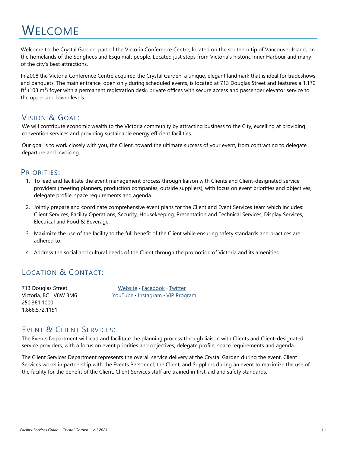# **WELCOME**

Welcome to the Crystal Garden, part of the Victoria Conference Centre, located on the southern tip of Vancouver Island, on the homelands of the Songhees and Esquimalt people. Located just steps from Victoria's historic Inner Harbour and many of the city's best attractions.

In 2008 the Victoria Conference Centre acquired the Crystal Garden, a unique, elegant landmark that is ideal for tradeshows and banquets. The main entrance, open only during scheduled events, is located at 713 Douglas Street and features a 1,172  $\text{ft}^2$  (108 m<sup>2</sup>) foyer with a permanent registration desk, private offices with secure access and passenger elevator service to the upper and lower levels.

## <span id="page-2-0"></span>VISION & GOAL:

We will contribute economic wealth to the Victoria community by attracting business to the City, excelling at providing convention services and providing sustainable energy efficient facilities.

Our goal is to work closely with you, the Client, toward the ultimate success of your event, from contracting to delegate departure and invoicing.

### <span id="page-2-1"></span>PRIORITIES:

- 1. To lead and facilitate the event management process through liaison with Clients and Client-designated service providers (meeting planners, production companies, outside suppliers), with focus on event priorities and objectives, delegate profile, space requirements and agenda.
- 2. Jointly prepare and coordinate comprehensive event plans for the Client and Event Services team which includes: Client Services, Facility Operations, Security, Housekeeping, Presentation and Technical Services, Display Services, Electrical and Food & Beverage.
- 3. Maximize the use of the facility to the full benefit of the Client while ensuring safety standards and practices are adhered to.
- 4. Address the social and cultural needs of the Client through the promotion of Victoria and its amenities.

## <span id="page-2-2"></span>LOCATION & CONTACT:

250.361.1000 1.866.572.1151

713 Douglas Street [Website](http://www.victoriaconference.com/) **·** [Facebook](https://www.facebook.com/BusinessEventsVictoria) **·** [Twitter](https://twitter.com/yyjconferences?lang=en) Victoria, BC V8W 3M6 [YouTube](https://www.youtube.com/user/TourismVictoriaBC) **·** [Instagram](https://www.instagram.com/TourismVictoriaBC/) **·** [VIP Program](https://www.tourismvictoria.com/meetings/victoria-conference-centre/about-vcc/vip-program)

## <span id="page-2-3"></span>EVENT & CLIENT SERVICES:

The Events Department will lead and facilitate the planning process through liaison with Clients and Client-designated service providers, with a focus on event priorities and objectives, delegate profile, space requirements and agenda.

The Client Services Department represents the overall service delivery at the Crystal Garden during the event. Client Services works in partnership with the Events Personnel, the Client, and Suppliers during an event to maximize the use of the facility for the benefit of the Client. Client Services staff are trained in first-aid and safety standards.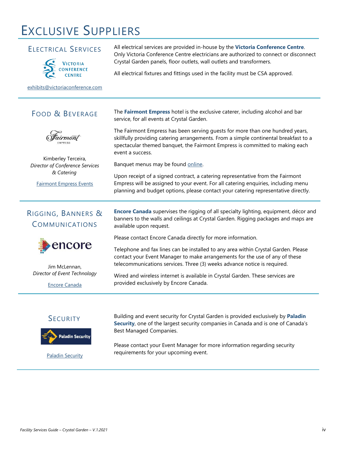# EXCLUSIVE SUPPLIERS

### ELECTRICAL SERVICES



All electrical services are provided in-house by the **Victoria Conference Centre**. Only Victoria Conference Centre electricians are authorized to connect or disconnect Crystal Garden panels, floor outlets, wall outlets and transformers.

All electrical fixtures and fittings used in the facility must be CSA approved.

[exhibits@victoriaconference.com](mailto:exhibits@victoriaconference.com)

# <span id="page-3-0"></span>FOOD & BEVERAGE



Kimberley Terceira, *Director of Conference Services & Catering*

[Fairmont Empress Events](https://empress.fairmontevents.com/about/)

# <span id="page-3-1"></span>RIGGING, BANNERS & COMMUNICATIONS



Jim McLennan, *Director of Event Technology*

[Encore Canada](https://www.encore-can.com/)

#### The **Fairmont Empress** hotel is the exclusive caterer, including alcohol and bar service, for all events at Crystal Garden.

The Fairmont Empress has been serving guests for more than one hundred years, skillfully providing catering arrangements. From a simple continental breakfast to a spectacular themed banquet, the Fairmont Empress is committed to making each event a success.

Banquet menus may be found [online.](https://empress.fairmontevents.com/view-menus/)

Upon receipt of a signed contract, a catering representative from the Fairmont Empress will be assigned to your event. For all catering enquiries, including menu planning and budget options, please contact your catering representative directly.

**Encore Canada** supervises the rigging of all specialty lighting, equipment, décor and banners to the walls and ceilings at Crystal Garden. Rigging packages and maps are available upon request.

Please contact Encore Canada directly for more information.

Telephone and fax lines can be installed to any area within Crystal Garden. Please contact your Event Manager to make arrangements for the use of any of these telecommunications services. Three (3) weeks advance notice is required.

Wired and wireless internet is available in Crystal Garden. These services are provided exclusively by Encore Canada.

## **SECURITY**

<span id="page-3-2"></span>

[Paladin Security](https://paladinsecurity.com/locations/security-company-victoria/)

Building and event security for Crystal Garden is provided exclusively by **Paladin Security**, one of the largest security companies in Canada and is one of Canada's Best Managed Companies.

Please contact your Event Manager for more information regarding security requirements for your upcoming event.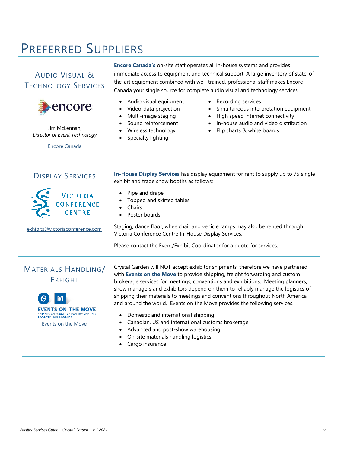# PREFERRED SUPPLIERS

# <span id="page-4-0"></span>AUDIO VISUAL & TECHNOLOGY SERVICES



Jim McLennan, *Director of Event Technology*

[Encore Canada](https://www.encore-can.com/)

**Encore Canada's** on-site staff operates all in-house systems and provides immediate access to equipment and technical support. A large inventory of state-ofthe-art equipment combined with well-trained, professional staff makes Encore Canada your single source for complete audio visual and technology services.

- Audio visual equipment
- Video-data projection
- Multi-image staging
- Sound reinforcement
- Wireless technology
- Specialty lighting
- Recording services
- Simultaneous interpretation equipment
- High speed internet connectivity
- In-house audio and video distribution
- Flip charts & white boards

### DISPLAY SERVICES

<span id="page-4-1"></span>**In-House Display Services** has display equipment for rent to supply up to 75 single exhibit and trade show booths as follows:

- Pipe and drape
- Topped and skirted tables
- Chairs
- Poster boards

[exhibits@victoriaconference.com](mailto:exhibits@victoriaconference.com)

**CONFERENCE** 

Staging, dance floor, wheelchair and vehicle ramps may also be rented through Victoria Conference Centre In-House Display Services.

Please contact the Event/Exhibit Coordinator for a quote for services.

# <span id="page-4-2"></span>MATERIALS HANDLING/ FREIGHT



[Events on the Move](https://eventsonthemove.levyshow.com/)

Crystal Garden will NOT accept exhibitor shipments, therefore we have partnered with **Events on the Move** to provide shipping, freight forwarding and custom brokerage services for meetings, conventions and exhibitions. Meeting planners, show managers and exhibitors depend on them to reliably manage the logistics of shipping their materials to meetings and conventions throughout North America and around the world. Events on the Move provides the following services.

- Domestic and international shipping
	- Canadian, US and international customs brokerage
- Advanced and post-show warehousing
- On-site materials handling logistics
- Cargo insurance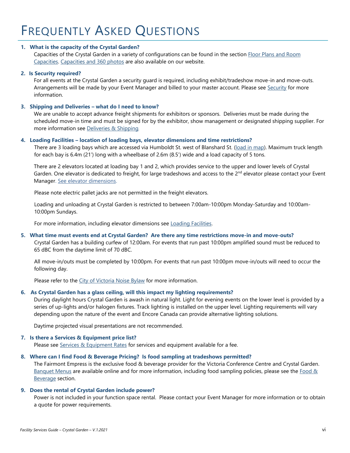#### <span id="page-5-0"></span>**1. What is the capacity of the Crystal Garden?**

Capacities of the Crystal Garden in a variety of configurations can be found in the section Floor Plans [and Room](#page-11-2)  [Capacities.](#page-11-2) [Capacities](https://www.tourismvictoria.com/meetings/victoria-conference-centre/facility/floor-plans-capacity) and 360 photos are also available on our website.

#### **2. Is Security required?**

For all events at the Crystal Garden a security guard is required, including exhibit/tradeshow move-in and move-outs. Arrangements will be made by your Event Manager and billed to your master account. Please see [Security](#page-21-1) for more information.

#### **3. Shipping and Deliveries – what do I need to know?**

We are unable to accept advance freight shipments for exhibitors or sponsors. Deliveries must be made during the scheduled move-in time and must be signed for by the exhibitor, show management or designated shipping supplier. For more information see [Deliveries & Shipping](#page-8-0).

#### **4. Loading Facilities – location of loading bays, elevator dimensions and time restrictions?**

There are 3 loading bays which are accessed via Humboldt St. west of Blanshard St. [\(load in map\)](https://www.tourismvictoria.com/meetings/victoria-conference-centre/media/forms-guidelines). Maximum truck length for each bay is 6.4m (21') long with a wheelbase of 2.6m (8.5') wide and a load capacity of 5 tons.

There are 2 elevators located at loading bay 1 and 2, which provides service to the upper and lower levels of Crystal Garden. One elevator is dedicated to freight, for large tradeshows and access to the 2<sup>nd</sup> elevator please contact your Event Manager. [See elevator dimensions.](#page-14-0)

Please note electric pallet jacks are not permitted in the freight elevators.

Loading and unloading at Crystal Garden is restricted to between 7:00am-10:00pm Monday-Saturday and 10:00am-10:00pm Sundays.

For more information, including elevator dimensions see [Loading Facilities.](#page-14-0)

#### **5. What time must events end at Crystal Garden? Are there any time restrictions move-in and move-outs?**

Crystal Garden has a building curfew of 12:00am. For events that run past 10:00pm amplified sound must be reduced to 65 dBC from the daytime limit of 70 dBC.

All move-in/outs must be completed by 10:00pm. For events that run past 10:00pm move-in/outs will need to occur the following day.

Please refer to the [City of Victoria Noise Bylaw](#page-15-1) for more information.

#### **6. As Crystal Garden has a glass ceiling, will this impact my lighting requirements?**

During daylight hours Crystal Garden is awash in natural light. Light for evening events on the lower level is provided by a series of up-lights and/or halogen fixtures. Track lighting is installed on the upper level. Lighting requirements will vary depending upon the nature of the event and Encore Canada can provide alternative lighting solutions.

Daytime projected visual presentations are not recommended.

#### **7. Is there a Services & Equipment price list?**

Please see [Services & Equipment Rates](#page-28-0) for services and equipment available for a fee.

#### **8. Where can I find Food & Beverage Pricing? Is food sampling at tradeshows permitted?**

The Fairmont Empress is the exclusive food & beverage provider for the Victoria Conference Centre and Crystal Garden. [Banquet Menus](https://empress.fairmontevents.com/view-menus/) are available online and for more information, including food sampling policies, please see the Food & [Beverage](#page-12-0) section.

#### **9. Does the rental of Crystal Garden include power?**

Power is not included in your function space rental. Please contact your Event Manager for more information or to obtain a quote for power requirements.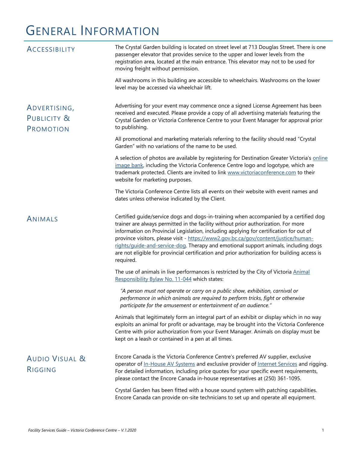# GENERAL INFORMATION

<span id="page-6-3"></span><span id="page-6-2"></span><span id="page-6-1"></span><span id="page-6-0"></span>

| <b>ACCESSIBILITY</b>                     | The Crystal Garden building is located on street level at 713 Douglas Street. There is one<br>passenger elevator that provides service to the upper and lower levels from the<br>registration area, located at the main entrance. This elevator may not to be used for<br>moving freight without permission.                                                                                                                                                                                                                                                     |
|------------------------------------------|------------------------------------------------------------------------------------------------------------------------------------------------------------------------------------------------------------------------------------------------------------------------------------------------------------------------------------------------------------------------------------------------------------------------------------------------------------------------------------------------------------------------------------------------------------------|
|                                          | All washrooms in this building are accessible to wheelchairs. Washrooms on the lower<br>level may be accessed via wheelchair lift.                                                                                                                                                                                                                                                                                                                                                                                                                               |
| ADVERTISING,<br>PUBLICITY &<br>PROMOTION | Advertising for your event may commence once a signed License Agreement has been<br>received and executed. Please provide a copy of all advertising materials featuring the<br>Crystal Garden or Victoria Conference Centre to your Event Manager for approval prior<br>to publishing.                                                                                                                                                                                                                                                                           |
|                                          | All promotional and marketing materials referring to the facility should read "Crystal<br>Garden" with no variations of the name to be used.                                                                                                                                                                                                                                                                                                                                                                                                                     |
|                                          | A selection of photos are available by registering for Destination Greater Victoria's online<br>image bank, including the Victoria Conference Centre logo and logotype, which are<br>trademark protected. Clients are invited to link www.victoriaconference.com to their<br>website for marketing purposes.                                                                                                                                                                                                                                                     |
|                                          | The Victoria Conference Centre lists all events on their website with event names and<br>dates unless otherwise indicated by the Client.                                                                                                                                                                                                                                                                                                                                                                                                                         |
| ANIMALS                                  | Certified guide/service dogs and dogs-in-training when accompanied by a certified dog<br>trainer are always permitted in the facility without prior authorization. For more<br>information on Provincial Legislation, including applying for certification for out of<br>province visitors, please visit - https://www2.gov.bc.ca/gov/content/justice/human-<br>rights/guide-and-service-dog. Therapy and emotional support animals, including dogs<br>are not eligible for provincial certification and prior authorization for building access is<br>required. |
|                                          | The use of animals in live performances is restricted by the City of Victoria Animal<br>Responsibility Bylaw No. 11-044 which states:                                                                                                                                                                                                                                                                                                                                                                                                                            |
|                                          | "A person must not operate or carry on a public show, exhibition, carnival or<br>performance in which animals are required to perform tricks, fight or otherwise<br>participate for the amusement or entertainment of an audience."                                                                                                                                                                                                                                                                                                                              |
|                                          | Animals that legitimately form an integral part of an exhibit or display which in no way<br>exploits an animal for profit or advantage, may be brought into the Victoria Conference<br>Centre with prior authorization from your Event Manager. Animals on display must be<br>kept on a leash or contained in a pen at all times.                                                                                                                                                                                                                                |
| <b>AUDIO VISUAL &amp;</b><br>RIGGING     | Encore Canada is the Victoria Conference Centre's preferred AV supplier, exclusive<br>operator of In-House AV Systems and exclusive provider of Internet Services and rigging.<br>For detailed information, including price quotes for your specific event requirements,<br>please contact the Encore Canada in-house representatives at (250) 361-1095.                                                                                                                                                                                                         |
|                                          | Crystal Garden has been fitted with a house sound system with patching capabilities.<br>Encore Canada can provide on-site technicians to set up and operate all equipment.                                                                                                                                                                                                                                                                                                                                                                                       |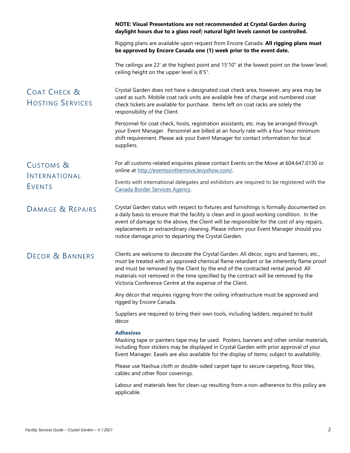<span id="page-7-3"></span><span id="page-7-2"></span><span id="page-7-1"></span><span id="page-7-0"></span>

|                                                    | NOTE: Visual Presentations are not recommended at Crystal Garden during<br>daylight hours due to a glass roof; natural light levels cannot be controlled.                                                                                                                                                                                                                                                                        |
|----------------------------------------------------|----------------------------------------------------------------------------------------------------------------------------------------------------------------------------------------------------------------------------------------------------------------------------------------------------------------------------------------------------------------------------------------------------------------------------------|
|                                                    | Rigging plans are available upon request from Encore Canada. All rigging plans must<br>be approved by Encore Canada one (1) week prior to the event date.                                                                                                                                                                                                                                                                        |
|                                                    | The ceilings are 22' at the highest point and 15'10" at the lowest point on the lower level;<br>ceiling height on the upper level is 8'5".                                                                                                                                                                                                                                                                                       |
| <b>COAT CHECK &amp;</b><br><b>HOSTING SERVICES</b> | Crystal Garden does not have a designated coat check area, however, any area may be<br>used as such. Mobile coat rack units are available free of charge and numbered coat<br>check tickets are available for purchase. Items left on coat racks are solely the<br>responsibility of the Client.                                                                                                                                 |
|                                                    | Personnel for coat check, hosts, registration assistants, etc. may be arranged through<br>your Event Manager. Personnel are billed at an hourly rate with a four hour minimum<br>shift requirement. Please ask your Event Manager for contact information for local<br>suppliers.                                                                                                                                                |
| <b>CUSTOMS &amp;</b>                               | For all customs-related enquiries please contact Events on the Move at 604.647.0130 or<br>online at http://eventsonthemove.levyshow.com/.                                                                                                                                                                                                                                                                                        |
| INTERNATIONAL<br><b>EVENTS</b>                     | Events with international delegates and exhibitors are required to be registered with the<br>Canada Border Services Agency.                                                                                                                                                                                                                                                                                                      |
| DAMAGE & REPAIRS                                   | Crystal Garden status with respect to fixtures and furnishings is formally documented on<br>a daily basis to ensure that the facility is clean and in good working condition. In the<br>event of damage to the above, the Client will be responsible for the cost of any repairs,<br>replacements or extraordinary cleaning. Please inform your Event Manager should you<br>notice damage prior to departing the Crystal Garden. |
| DÉCOR & BANNERS                                    | Clients are welcome to decorate the Crystal Garden. All décor, signs and banners, etc.,<br>must be treated with an approved chemical flame retardant or be inherently flame proof<br>and must be removed by the Client by the end of the contracted rental period. All<br>materials not removed in the time specified by the contract will be removed by the<br>Victoria Conference Centre at the expense of the Client.         |
|                                                    | Any décor that requires rigging from the ceiling infrastructure must be approved and<br>rigged by Encore Canada.                                                                                                                                                                                                                                                                                                                 |
|                                                    | Suppliers are required to bring their own tools, including ladders, required to build<br>décor.                                                                                                                                                                                                                                                                                                                                  |
|                                                    | <b>Adhesives</b><br>Masking tape or painters tape may be used. Posters, banners and other similar materials,<br>including floor stickers may be displayed in Crystal Garden with prior approval of your<br>Event Manager. Easels are also available for the display of items; subject to availability.                                                                                                                           |
|                                                    | Please use Nashua cloth or double-sided carpet tape to secure carpeting, floor tiles,<br>cables and other floor coverings.                                                                                                                                                                                                                                                                                                       |
|                                                    | Labour and materials fees for clean-up resulting from a non-adherence to this policy are<br>applicable.                                                                                                                                                                                                                                                                                                                          |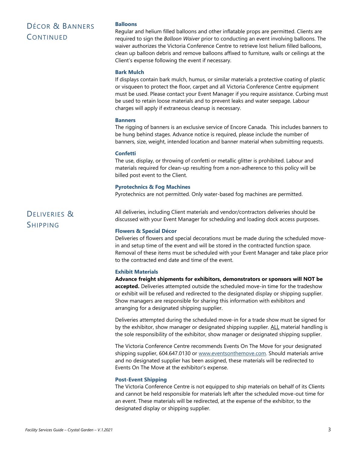# DÉCOR & BANNERS **CONTINUED**

#### **Balloons**

Regular and helium filled balloons and other inflatable props are permitted. Clients are required to sign the *Balloon Waiver* prior to conducting an event involving balloons. The waiver authorizes the Victoria Conference Centre to retrieve lost helium filled balloons, clean up balloon debris and remove balloons affixed to furniture, walls or ceilings at the Client's expense following the event if necessary.

#### **Bark Mulch**

If displays contain bark mulch, humus, or similar materials a protective coating of plastic or visqueen to protect the floor, carpet and all Victoria Conference Centre equipment must be used. Please contact your Event Manager if you require assistance. Curbing must be used to retain loose materials and to prevent leaks and water seepage. Labour charges will apply if extraneous cleanup is necessary.

#### **Banners**

The rigging of banners is an exclusive service of Encore Canada. This includes banners to be hung behind stages. Advance notice is required, please include the number of banners, size, weight, intended location and banner material when submitting requests.

#### **Confetti**

The use, display, or throwing of confetti or metallic glitter is prohibited. Labour and materials required for clean-up resulting from a non-adherence to this policy will be billed post event to the Client.

#### **Pyrotechnics & Fog Machines**

Pyrotechnics are not permitted. Only water-based fog machines are permitted.

# <span id="page-8-0"></span>DELIVERIES & SHIPPING

All deliveries, including Client materials and vendor/contractors deliveries should be discussed with your Event Manager for scheduling and loading dock access purposes.

#### **Flowers & Special Décor**

Deliveries of flowers and special decorations must be made during the scheduled movein and setup time of the event and will be stored in the contracted function space. Removal of these items must be scheduled with your Event Manager and take place prior to the contracted end date and time of the event.

#### **Exhibit Materials**

**Advance freight shipments for exhibitors, demonstrators or sponsors will NOT be accepted.** Deliveries attempted outside the scheduled move-in time for the tradeshow or exhibit will be refused and redirected to the designated display or shipping supplier. Show managers are responsible for sharing this information with exhibitors and arranging for a designated shipping supplier.

Deliveries attempted during the scheduled move-in for a trade show must be signed for by the exhibitor, show manager or designated shipping supplier. ALL material handling is the sole responsibility of the exhibitor, show manager or designated shipping supplier.

The Victoria Conference Centre recommends Events On The Move for your designated shipping supplier, 604.647.0130 or [www.eventsonthemove.com.](http://www.eventsonthemove.com/) Should materials arrive and no designated supplier has been assigned, these materials will be redirected to Events On The Move at the exhibitor's expense.

#### **Post-Event Shipping**

The Victoria Conference Centre is not equipped to ship materials on behalf of its Clients and cannot be held responsible for materials left after the scheduled move-out time for an event. These materials will be redirected, at the expense of the exhibitor, to the designated display or shipping supplier.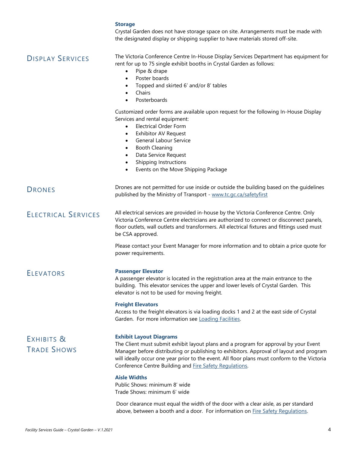<span id="page-9-4"></span><span id="page-9-3"></span><span id="page-9-2"></span><span id="page-9-1"></span><span id="page-9-0"></span>

|                                  | <b>Storage</b><br>Crystal Garden does not have storage space on site. Arrangements must be made with<br>the designated display or shipping supplier to have materials stored off-site.                                                                                                                                                                                       |
|----------------------------------|------------------------------------------------------------------------------------------------------------------------------------------------------------------------------------------------------------------------------------------------------------------------------------------------------------------------------------------------------------------------------|
| <b>DISPLAY SERVICES</b>          | The Victoria Conference Centre In-House Display Services Department has equipment for<br>rent for up to 75 single exhibit booths in Crystal Garden as follows:<br>Pipe & drape<br>$\bullet$<br>Poster boards<br>$\bullet$<br>Topped and skirted 6' and/or 8' tables<br>Chairs<br>Posterboards                                                                                |
|                                  | Customized order forms are available upon request for the following In-House Display<br>Services and rental equipment:<br><b>Electrical Order Form</b><br>$\bullet$<br><b>Exhibitor AV Request</b><br>٠<br>General Labour Service<br><b>Booth Cleaning</b><br>٠<br>Data Service Request<br>Shipping Instructions<br>٠<br>Events on the Move Shipping Package                 |
| <b>DRONES</b>                    | Drones are not permitted for use inside or outside the building based on the guidelines<br>published by the Ministry of Transport - www.tc.gc.ca/safetyfirst                                                                                                                                                                                                                 |
| <b>ELECTRICAL SERVICES</b>       | All electrical services are provided in-house by the Victoria Conference Centre. Only<br>Victoria Conference Centre electricians are authorized to connect or disconnect panels,<br>floor outlets, wall outlets and transformers. All electrical fixtures and fittings used must<br>be CSA approved.                                                                         |
|                                  | Please contact your Event Manager for more information and to obtain a price quote for<br>power requirements.                                                                                                                                                                                                                                                                |
| <b>ELEVATORS</b>                 | <b>Passenger Elevator</b><br>A passenger elevator is located in the registration area at the main entrance to the<br>building. This elevator services the upper and lower levels of Crystal Garden. This<br>elevator is not to be used for moving freight.                                                                                                                   |
|                                  | <b>Freight Elevators</b><br>Access to the freight elevators is via loading docks 1 and 2 at the east side of Crystal<br>Garden. For more information see Loading Facilities.                                                                                                                                                                                                 |
| EXHIBITS &<br><b>TRADE SHOWS</b> | <b>Exhibit Layout Diagrams</b><br>The Client must submit exhibit layout plans and a program for approval by your Event<br>Manager before distributing or publishing to exhibitors. Approval of layout and program<br>will ideally occur one year prior to the event. All floor plans must conform to the Victoria<br>Conference Centre Building and Fire Safety Regulations. |
|                                  | <b>Aisle Widths</b><br>Public Shows: minimum 8' wide<br>Trade Shows: minimum 6' wide                                                                                                                                                                                                                                                                                         |
|                                  | Door clearance must equal the width of the door with a clear aisle, as per standard<br>above, between a booth and a door. For information on Fire Safety Regulations.                                                                                                                                                                                                        |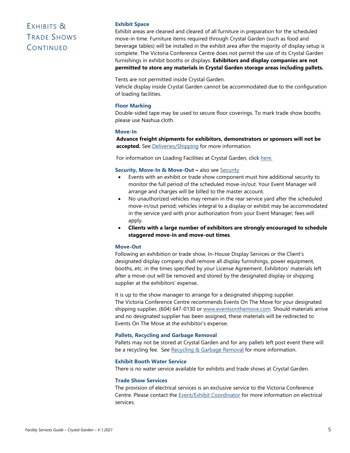# EXHIBITS & TRADE SHOWS **CONTINUED**

#### **Exhibit Space**

Exhibit areas are cleaned and cleared of all furniture in preparation for the scheduled move-in time. Furniture items required through Crystal Garden (such as food and beverage tables) will be installed in the exhibit area after the majority of display setup is complete. The Victoria Conference Centre does not permit the use of its Crystal Garden furnishings in exhibit booths or displays. **Exhibitors and display companies are not permitted to store any materials in Crystal Garden storage areas including pallets.**

Tents are not permitted inside Crystal Garden.

Vehicle display inside Crystal Garden cannot be accommodated due to the configuration of loading facilities.

#### **Floor Marking**

Double-sided tape may be used to secure floor coverings. To mark trade show booths please use Nashua cloth.

#### **Move-In**

**Advance freight shipments for exhibitors, demonstrators or sponsors will not be accepted.** See [Deliveries/Shipping](#page-8-0) for more information.

For information on Loading Facilities at Crystal Garden, click [here.](#page-14-0)

#### <span id="page-10-0"></span>**Security, Move-In & Move-Out –** also see [Security](#page-21-1)

- Events with an exhibit or trade show component must hire additional security to monitor the full period of the scheduled move-in/out. Your Event Manager will arrange and charges will be billed to the master account.
- No unauthorized vehicles may remain in the rear service yard after the scheduled move-in/out period; vehicles integral to a display or exhibit may be accommodated in the service yard with prior authorization from your Event Manager; fees will apply.
- **Clients with a large number of exhibitors are strongly encouraged to schedule staggered move-in and move-out times**.

#### **Move-Out**

Following an exhibition or trade show, In-House Display Services or the Client's designated display company shall remove all display furnishings, power equipment, booths, etc. in the times specified by your License Agreement. Exhibitors' materials left after a move-out will be removed and stored by the designated display or shipping supplier at the exhibitors' expense.

It is up to the show manager to arrange for a designated shipping supplier. The Victoria Conference Centre recommends Events On The Move for your designated shipping supplier, (604) 647-0130 or [www.eventsonthemove.com.](http://www.eventsonthemove.com/) Should materials arrive and no designated supplier has been assigned, these materials will be redirected to Events On The Move at the exhibitor's expense.

#### **Pallets, Recycling and Garbage Removal**

Pallets may not be stored at Crystal Garden and for any pallets left post event there will be a recycling fee. See [Recycling & Garbage Removal](#page-12-2) for more information.

#### **Exhibit Booth Water Service**

There is no water service available for exhibits and trade shows at Crystal Garden.

#### **Trade Show Services**

The provision of electrical services is an exclusive service to the Victoria Conference Centre. Please contact the [Event/Exhibit Coordinator](mailto:exhibits@victoriaconference.com) for more information on electrical services.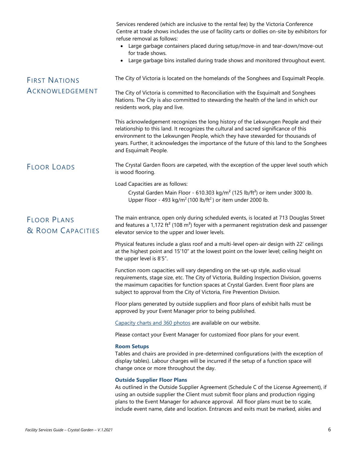<span id="page-11-2"></span><span id="page-11-1"></span><span id="page-11-0"></span>

|                                         | Services rendered (which are inclusive to the rental fee) by the Victoria Conference<br>Centre at trade shows includes the use of facility carts or dollies on-site by exhibitors for<br>refuse removal as follows:<br>Large garbage containers placed during setup/move-in and tear-down/move-out<br>$\bullet$<br>for trade shows.<br>Large garbage bins installed during trade shows and monitored throughout event.<br>$\bullet$ |
|-----------------------------------------|-------------------------------------------------------------------------------------------------------------------------------------------------------------------------------------------------------------------------------------------------------------------------------------------------------------------------------------------------------------------------------------------------------------------------------------|
| <b>FIRST NATIONS</b>                    | The City of Victoria is located on the homelands of the Songhees and Esquimalt People.                                                                                                                                                                                                                                                                                                                                              |
| ACKNOWLEDGEMENT                         | The City of Victoria is committed to Reconciliation with the Esquimalt and Songhees<br>Nations. The City is also committed to stewarding the health of the land in which our<br>residents work, play and live.                                                                                                                                                                                                                      |
|                                         | This acknowledgement recognizes the long history of the Lekwungen People and their<br>relationship to this land. It recognizes the cultural and sacred significance of this<br>environment to the Lekwungen People, which they have stewarded for thousands of<br>years. Further, it acknowledges the importance of the future of this land to the Songhees<br>and Esquimalt People.                                                |
| <b>FLOOR LOADS</b>                      | The Crystal Garden floors are carpeted, with the exception of the upper level south which<br>is wood flooring.                                                                                                                                                                                                                                                                                                                      |
|                                         | Load Capacities are as follows:<br>Crystal Garden Main Floor - 610.303 kg/m <sup>2</sup> (125 lb/ft <sup>2</sup> ) or item under 3000 lb.<br>Upper Floor - 493 kg/m <sup>2</sup> (100 lb/ft <sup>2</sup> ) or item under 2000 lb.                                                                                                                                                                                                   |
| <b>FLOOR PLANS</b><br>& ROOM CAPACITIES | The main entrance, open only during scheduled events, is located at 713 Douglas Street<br>and features a 1,172 ft <sup>2</sup> (108 m <sup>2</sup> ) foyer with a permanent registration desk and passenger<br>elevator service to the upper and lower levels.                                                                                                                                                                      |
|                                         | Physical features include a glass roof and a multi-level open-air design with 22' ceilings<br>at the highest point and 15'10" at the lowest point on the lower level; ceiling height on<br>the upper level is 8'5".                                                                                                                                                                                                                 |
|                                         | Function room capacities will vary depending on the set-up style, audio visual<br>requirements, stage size, etc. The City of Victoria, Building Inspection Division, governs<br>the maximum capacities for function spaces at Crystal Garden. Event floor plans are<br>subject to approval from the City of Victoria, Fire Prevention Division.                                                                                     |
|                                         | Floor plans generated by outside suppliers and floor plans of exhibit halls must be<br>approved by your Event Manager prior to being published.                                                                                                                                                                                                                                                                                     |
|                                         | Capacity charts and 360 photos are available on our website.                                                                                                                                                                                                                                                                                                                                                                        |
|                                         | Please contact your Event Manager for customized floor plans for your event.                                                                                                                                                                                                                                                                                                                                                        |
|                                         | <b>Room Setups</b><br>Tables and chairs are provided in pre-determined configurations (with the exception of<br>display tables). Labour charges will be incurred if the setup of a function space will<br>change once or more throughout the day.                                                                                                                                                                                   |
|                                         | <b>Outside Supplier Floor Plans</b><br>As outlined in the Outside Supplier Agreement (Schedule C of the License Agreement), if<br>using an outside supplier the Client must submit floor plans and production rigging<br>plans to the Event Manager for advance approval. All floor plans must be to scale,<br>include event name, date and location. Entrances and exits must be marked, aisles and                                |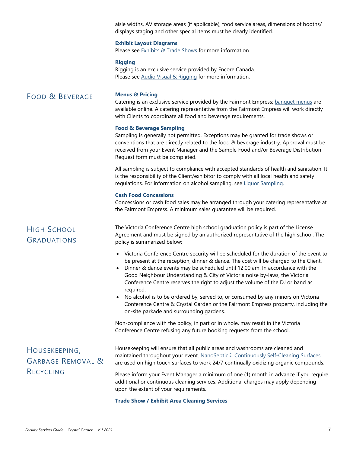aisle widths, AV storage areas (if applicable), food service areas, dimensions of booths/ displays staging and other special items must be clearly identified.

#### **Exhibit Layout Diagrams**

Please see **Exhibits & Trade Shows** for more information.

#### **Rigging**

Rigging is an exclusive service provided by Encore Canada. Please see [Audio Visual & Rigging](#page-6-3) for more information.

### <span id="page-12-0"></span>FOOD & BEVERAGE **Menus & Pricing**

Catering is an exclusive service provided by the Fairmont Empress; [banquet menus](https://empress.fairmontevents.com/view-menus/) are available online. A catering representative from the Fairmont Empress will work directly with Clients to coordinate all food and beverage requirements.

#### **Food & Beverage Sampling**

Sampling is generally not permitted. Exceptions may be granted for trade shows or conventions that are directly related to the food & beverage industry. Approval must be received from your Event Manager and the Sample Food and/or Beverage Distribution Request form must be completed.

All sampling is subject to compliance with accepted standards of health and sanitation. It is the responsibility of the Client/exhibitor to comply with all local health and safety regulations. For information on alcohol sampling, se[e Liquor Sampling.](#page-25-0)

#### **Cash Food Concessions**

Concessions or cash food sales may be arranged through your catering representative at the Fairmont Empress. A minimum sales guarantee will be required.

# <span id="page-12-1"></span>HIGH SCHOOL GRADUATIONS

The Victoria Conference Centre high school graduation policy is part of the License Agreement and must be signed by an authorized representative of the high school. The policy is summarized below:

- Victoria Conference Centre security will be scheduled for the duration of the event to be present at the reception, dinner & dance. The cost will be charged to the Client.
- Dinner & dance events may be scheduled until 12:00 am. In accordance with the Good Neighbour Understanding & City of Victoria noise by-laws, the Victoria Conference Centre reserves the right to adjust the volume of the DJ or band as required.
- No alcohol is to be ordered by, served to, or consumed by any minors on Victoria Conference Centre & Crystal Garden or the Fairmont Empress property, including the on-site parkade and surrounding gardens.

Non-compliance with the policy, in part or in whole, may result in the Victoria Conference Centre refusing any future booking requests from the school.

# <span id="page-12-2"></span>HOUSEKEEPING, GARBAGE REMOVAL & RECYCLING

Housekeeping will ensure that all public areas and washrooms are cleaned and maintained throughout your event. [NanoSeptic® Continuously Self-Cleaning Surfaces](https://www.nanoseptic.com/nanoseptic-self-cleaning/learn-about-nanoseptic-self-cleaning-surfaces) are used on high touch surfaces to work 24/7 continually oxidizing organic compounds.

Please inform your Event Manager a minimum of one (1) month in advance if you require additional or continuous cleaning services. Additional charges may apply depending upon the extent of your requirements.

#### **Trade Show / Exhibit Area Cleaning Services**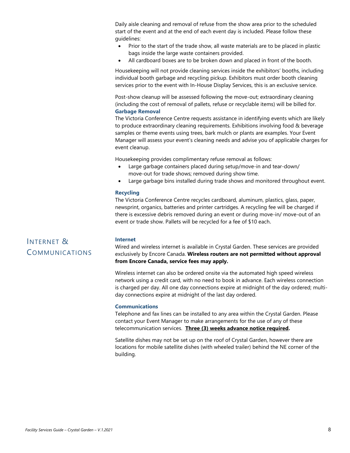Daily aisle cleaning and removal of refuse from the show area prior to the scheduled start of the event and at the end of each event day is included. Please follow these guidelines:

- Prior to the start of the trade show, all waste materials are to be placed in plastic bags inside the large waste containers provided.
- All cardboard boxes are to be broken down and placed in front of the booth.

Housekeeping will not provide cleaning services inside the exhibitors' booths, including individual booth garbage and recycling pickup. Exhibitors must order booth cleaning services prior to the event with In-House Display Services, this is an exclusive service.

Post-show cleanup will be assessed following the move-out; extraordinary cleaning (including the cost of removal of pallets, refuse or recyclable items) will be billed for. **Garbage Removal**

The Victoria Conference Centre requests assistance in identifying events which are likely to produce extraordinary cleaning requirements. Exhibitions involving food & beverage samples or theme events using trees, bark mulch or plants are examples. Your Event Manager will assess your event's cleaning needs and advise you of applicable charges for event cleanup.

Housekeeping provides complimentary refuse removal as follows:

- Large garbage containers placed during setup/move-in and tear-down/ move-out for trade shows; removed during show time.
- Large garbage bins installed during trade shows and monitored throughout event.

#### **Recycling**

The Victoria Conference Centre recycles cardboard, aluminum, plastics, glass, paper, newsprint, organics, batteries and printer cartridges. A recycling fee will be charged if there is excessive debris removed during an event or during move-in/ move-out of an event or trade show. Pallets will be recycled for a fee of \$10 each.

# <span id="page-13-0"></span>INTERNET & COMMUNICATIONS

#### **Internet**

Wired and wireless internet is available in Crystal Garden. These services are provided exclusively by Encore Canada. **Wireless routers are not permitted without approval from Encore Canada, service fees may apply.**

Wireless internet can also be ordered onsite via the automated high speed wireless network using a credit card, with no need to book in advance. Each wireless connection is charged per day. All one day connections expire at midnight of the day ordered; multiday connections expire at midnight of the last day ordered.

#### **Communications**

Telephone and fax lines can be installed to any area within the Crystal Garden. Please contact your Event Manager to make arrangements for the use of any of these telecommunication services. **Three (3) weeks advance notice required.**

Satellite dishes may not be set up on the roof of Crystal Garden, however there are locations for mobile satellite dishes (with wheeled trailer) behind the NE corner of the building.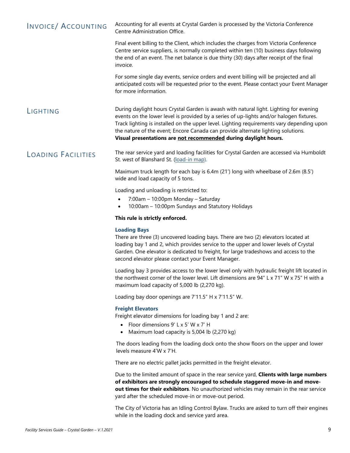<span id="page-14-2"></span><span id="page-14-1"></span>

| <b>INVOICE/ ACCOUNTING</b> | Accounting for all events at Crystal Garden is processed by the Victoria Conference<br>Centre Administration Office.                                                                                                                                                                                                                                                                                                                  |
|----------------------------|---------------------------------------------------------------------------------------------------------------------------------------------------------------------------------------------------------------------------------------------------------------------------------------------------------------------------------------------------------------------------------------------------------------------------------------|
|                            | Final event billing to the Client, which includes the charges from Victoria Conference<br>Centre service suppliers, is normally completed within ten (10) business days following<br>the end of an event. The net balance is due thirty (30) days after receipt of the final<br>invoice.                                                                                                                                              |
|                            | For some single day events, service orders and event billing will be projected and all<br>anticipated costs will be requested prior to the event. Please contact your Event Manager<br>for more information.                                                                                                                                                                                                                          |
| LIGHTING                   | During daylight hours Crystal Garden is awash with natural light. Lighting for evening<br>events on the lower level is provided by a series of up-lights and/or halogen fixtures.<br>Track lighting is installed on the upper level. Lighting requirements vary depending upon<br>the nature of the event; Encore Canada can provide alternate lighting solutions.<br>Visual presentations are not recommended during daylight hours. |
| <b>LOADING FACILITIES</b>  | The rear service yard and loading facilities for Crystal Garden are accessed via Humboldt<br>St. west of Blanshard St. (load-in map).                                                                                                                                                                                                                                                                                                 |
|                            | Maximum truck length for each bay is 6.4m (21') long with wheelbase of 2.6m (8.5')<br>wide and load capacity of 5 tons.                                                                                                                                                                                                                                                                                                               |
|                            | Loading and unloading is restricted to:<br>7:00am - 10:00pm Monday - Saturday<br>$\bullet$<br>10:00am - 10:00pm Sundays and Statutory Holidays                                                                                                                                                                                                                                                                                        |

#### <span id="page-14-0"></span>**This rule is strictly enforced.**

#### **Loading Bays**

There are three (3) uncovered loading bays. There are two (2) elevators located at loading bay 1 and 2, which provides service to the upper and lower levels of Crystal Garden. One elevator is dedicated to freight, for large tradeshows and access to the second elevator please contact your Event Manager.

Loading bay 3 provides access to the lower level only with hydraulic freight lift located in the northwest corner of the lower level. Lift dimensions are 94" L x 71" W x 75" H with a maximum load capacity of 5,000 lb (2,270 kg).

Loading bay door openings are 7'11.5" H x 7'11.5" W.

#### **Freight Elevators**

Freight elevator dimensions for loading bay 1 and 2 are:

- Floor dimensions 9' L x 5' W x 7' H
- Maximum load capacity is 5,004 lb (2,270 kg)

The doors leading from the loading dock onto the show floors on the upper and lower levels measure 4'W x 7'H.

There are no electric pallet jacks permitted in the freight elevator.

Due to the limited amount of space in the rear service yard, **Clients with large numbers of exhibitors are strongly encouraged to schedule staggered move-in and moveout times for their exhibitors**. No unauthorized vehicles may remain in the rear service yard after the scheduled move-in or move-out period.

The City of Victoria has an Idling Control Bylaw. Trucks are asked to turn off their engines while in the loading dock and service yard area.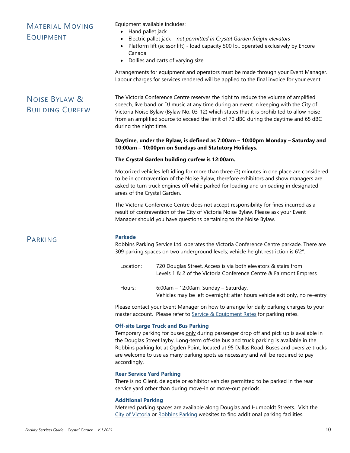## <span id="page-15-0"></span>MATERIAL MOVING EQUIPMENT

Equipment available includes:

- Hand pallet jack
- Electric pallet jack *– not permitted in Crystal Garden freight elevators*
- Platform lift (scissor lift) load capacity 500 lb., operated exclusively by Encore Canada
- Dollies and carts of varying size

Arrangements for equipment and operators must be made through your Event Manager. Labour charges for services rendered will be applied to the final invoice for your event.

# <span id="page-15-1"></span>NOISE BYLAW & BUILDING CURFEW

The Victoria Conference Centre reserves the right to reduce the volume of amplified speech, live band or DJ music at any time during an event in keeping with the City of Victoria Noise Bylaw (Bylaw No. 03-12) which states that it is prohibited to allow noise from an amplified source to exceed the limit of 70 dBC during the daytime and 65 dBC during the night time.

#### **Daytime, under the Bylaw, is defined as 7:00am – 10:00pm Monday – Saturday and 10:00am – 10:00pm on Sundays and Statutory Holidays.**

#### **The Crystal Garden building curfew is 12:00am.**

Motorized vehicles left idling for more than three (3) minutes in one place are considered to be in contravention of the Noise Bylaw, therefore exhibitors and show managers are asked to turn truck engines off while parked for loading and unloading in designated areas of the Crystal Garden.

The Victoria Conference Centre does not accept responsibility for fines incurred as a result of contravention of the City of Victoria Noise Bylaw. Please ask your Event Manager should you have questions pertaining to the Noise Bylaw.

### <span id="page-15-2"></span>PARKING **Parkade**

Robbins Parking Service Ltd. operates the Victoria Conference Centre parkade. There are 309 parking spaces on two underground levels; vehicle height restriction is 6'2".

Location: 720 Douglas Street. Access is via both elevators & stairs from Levels 1 & 2 of the Victoria Conference Centre & Fairmont Empress

Hours: 6:00am – 12:00am, Sunday – Saturday. Vehicles may be left overnight; after hours vehicle exit only, no re-entry

Please contact your Event Manager on how to arrange for daily parking charges to your master account. Please refer to [Service & Equipment Rates](#page-28-0) for parking rates.

#### **Off-site Large Truck and Bus Parking**

Temporary parking for buses only during passenger drop off and pick up is available in the Douglas Street layby. Long-term off-site bus and truck parking is available in the Robbins parking lot at Ogden Point, located at 95 Dallas Road. Buses and oversize trucks are welcome to use as many parking spots as necessary and will be required to pay accordingly.

#### **Rear Service Yard Parking**

There is no Client, delegate or exhibitor vehicles permitted to be parked in the rear service yard other than during move-in or move-out periods.

#### **Additional Parking**

Metered parking spaces are available along Douglas and Humboldt Streets. Visit the [City of Victoria](http://www.victoria.ca/EN/main/residents/parking.html) or [Robbins Parking](http://robbinsparking.com/parking-locator/) websites to find additional parking facilities.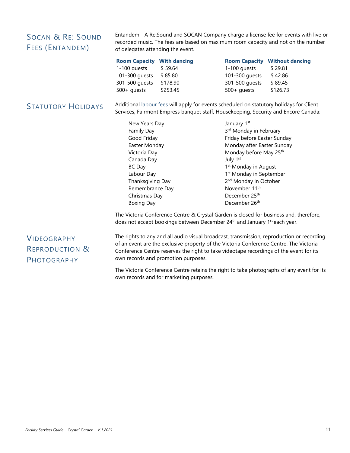## <span id="page-16-0"></span>SOCAN & RE: SOUND FEES (ENTANDEM)

Entandem - A Re:Sound and SOCAN Company charge a license fee for events with live or recorded music. The fees are based on maximum room capacity and not on the number of delegates attending the event.

| <b>Room Capacity With dancing</b> |          |                | <b>Room Capacity Without dancing</b> |
|-----------------------------------|----------|----------------|--------------------------------------|
| 1-100 quests                      | \$59.64  | $1-100$ quests | \$29.81                              |
| 101-300 quests                    | \$85.80  | 101-300 quests | \$42.86                              |
| 301-500 quests                    | \$178.90 | 301-500 quests | \$89.45                              |
| $500+$ quests                     | \$253.45 | $500+$ quests  | \$126.73                             |

<span id="page-16-1"></span>STATUTORY HOLIDAYS Additional [labour fees](#page-28-0) will apply for events scheduled on statutory holidays for Client Services, Fairmont Empress banquet staff, Housekeeping, Security and Encore Canada:

| New Years Day     | January 1st                         |
|-------------------|-------------------------------------|
| <b>Family Day</b> | 3 <sup>rd</sup> Monday in February  |
| Good Friday       | Friday before Easter Sunday         |
| Easter Monday     | Monday after Easter Sunday          |
| Victoria Day      | Monday before May 25 <sup>th</sup>  |
| Canada Day        | July 1st                            |
| BC Day            | 1 <sup>st</sup> Monday in August    |
| Labour Day        | 1 <sup>st</sup> Monday in September |
| Thanksgiving Day  | 2 <sup>nd</sup> Monday in October   |
| Remembrance Day   | November 11 <sup>th</sup>           |
| Christmas Day     | December 25 <sup>th</sup>           |
| <b>Boxing Day</b> | December 26th                       |

The Victoria Conference Centre & Crystal Garden is closed for business and, therefore, does not accept bookings between December 24<sup>th</sup> and January 1<sup>st</sup> each year.

# <span id="page-16-2"></span>VIDEOGRAPHY REPRODUCTION & PHOTOGRAPHY

The rights to any and all audio visual broadcast, transmission, reproduction or recording of an event are the exclusive property of the Victoria Conference Centre. The Victoria Conference Centre reserves the right to take videotape recordings of the event for its own records and promotion purposes.

The Victoria Conference Centre retains the right to take photographs of any event for its own records and for marketing purposes.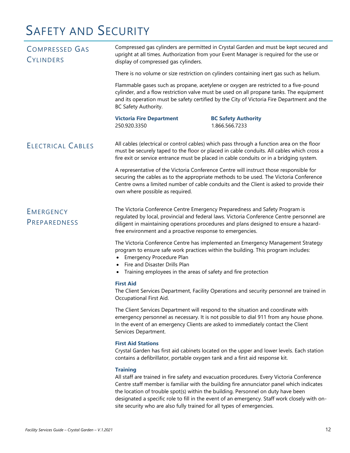# SAFETY AND SECURITY

<span id="page-17-2"></span><span id="page-17-1"></span><span id="page-17-0"></span>

| <b>COMPRESSED GAS</b><br><b>CYLINDERS</b> | Compressed gas cylinders are permitted in Crystal Garden and must be kept secured and<br>upright at all times. Authorization from your Event Manager is required for the use or<br>display of compressed gas cylinders.                                                                                                       |                                                                                                                                                                                                                                                                                   |  |
|-------------------------------------------|-------------------------------------------------------------------------------------------------------------------------------------------------------------------------------------------------------------------------------------------------------------------------------------------------------------------------------|-----------------------------------------------------------------------------------------------------------------------------------------------------------------------------------------------------------------------------------------------------------------------------------|--|
|                                           | There is no volume or size restriction on cylinders containing inert gas such as helium.                                                                                                                                                                                                                                      |                                                                                                                                                                                                                                                                                   |  |
|                                           | BC Safety Authority.                                                                                                                                                                                                                                                                                                          | Flammable gases such as propane, acetylene or oxygen are restricted to a five-pound<br>cylinder, and a flow restriction valve must be used on all propane tanks. The equipment<br>and its operation must be safety certified by the City of Victoria Fire Department and the      |  |
|                                           | <b>Victoria Fire Department</b><br>250.920.3350                                                                                                                                                                                                                                                                               | <b>BC Safety Authority</b><br>1.866.566.7233                                                                                                                                                                                                                                      |  |
| <b>ELECTRICAL CABLES</b>                  |                                                                                                                                                                                                                                                                                                                               | All cables (electrical or control cables) which pass through a function area on the floor<br>must be securely taped to the floor or placed in cable conduits. All cables which cross a<br>fire exit or service entrance must be placed in cable conduits or in a bridging system. |  |
|                                           | own where possible as required.                                                                                                                                                                                                                                                                                               | A representative of the Victoria Conference Centre will instruct those responsible for<br>securing the cables as to the appropriate methods to be used. The Victoria Conference<br>Centre owns a limited number of cable conduits and the Client is asked to provide their        |  |
| <b>EMERGENCY</b><br><b>PREPAREDNESS</b>   | The Victoria Conference Centre Emergency Preparedness and Safety Program is<br>regulated by local, provincial and federal laws. Victoria Conference Centre personnel are<br>diligent in maintaining operations procedures and plans designed to ensure a hazard-<br>free environment and a proactive response to emergencies. |                                                                                                                                                                                                                                                                                   |  |
|                                           | Emergency Procedure Plan<br>$\bullet$<br>Fire and Disaster Drills Plan<br>Training employees in the areas of safety and fire protection                                                                                                                                                                                       | The Victoria Conference Centre has implemented an Emergency Management Strategy<br>program to ensure safe work practices within the building. This program includes:                                                                                                              |  |
|                                           | <b>First Aid</b><br>Occupational First Aid.                                                                                                                                                                                                                                                                                   | The Client Services Department, Facility Operations and security personnel are trained in                                                                                                                                                                                         |  |
|                                           | Services Department.                                                                                                                                                                                                                                                                                                          | The Client Services Department will respond to the situation and coordinate with<br>emergency personnel as necessary. It is not possible to dial 911 from any house phone.<br>In the event of an emergency Clients are asked to immediately contact the Client                    |  |
|                                           | <b>First Aid Stations</b>                                                                                                                                                                                                                                                                                                     | Crystal Garden has first aid cabinets located on the upper and lower levels. Each station<br>contains a defibrillator, portable oxygen tank and a first aid response kit.                                                                                                         |  |
|                                           | <b>Training</b>                                                                                                                                                                                                                                                                                                               |                                                                                                                                                                                                                                                                                   |  |

All staff are trained in fire safety and evacuation procedures. Every Victoria Conference Centre staff member is familiar with the building fire annunciator panel which indicates the location of trouble spot(s) within the building. Personnel on duty have been designated a specific role to fill in the event of an emergency. Staff work closely with onsite security who are also fully trained for all types of emergencies.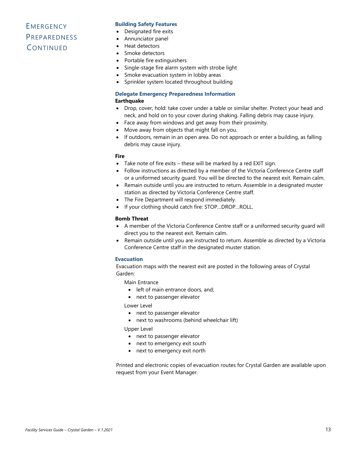# **EMERGENCY PREPAREDNESS CONTINUED**

#### **Building Safety Features**

- Designated fire exits
- Annunciator panel
- Heat detectors
- Smoke detectors
- Portable fire extinguishers
- Single-stage fire alarm system with strobe light
- Smoke evacuation system in lobby areas
- Sprinkler system located throughout building

### **Delegate Emergency Preparedness Information**

#### **Earthquake**

- Drop, cover, hold: take cover under a table or similar shelter. Protect your head and neck, and hold on to your cover during shaking. Falling debris may cause injury.
- Face away from windows and get away from their proximity.
- Move away from objects that might fall on you.
- If outdoors, remain in an open area. Do not approach or enter a building, as falling debris may cause injury.

#### **Fire**

- Take note of fire exits these will be marked by a red EXIT sign.
- Follow instructions as directed by a member of the Victoria Conference Centre staff or a uniformed security guard. You will be directed to the nearest exit. Remain calm.
- Remain outside until you are instructed to return. Assemble in a designated muster station as directed by Victoria Conference Centre staff.
- The Fire Department will respond immediately.
- If your clothing should catch fire: STOP…DROP…ROLL.

#### **Bomb Threat**

- A member of the Victoria Conference Centre staff or a uniformed security guard will direct you to the nearest exit. Remain calm.
- Remain outside until you are instructed to return. Assemble as directed by a Victoria Conference Centre staff in the designated muster station.

#### **Evacuation**

Evacuation maps with the nearest exit are posted in the following areas of Crystal Garden:

Main Entrance

- left of main entrance doors, and;
- next to passenger elevator

Lower Level

- next to passenger elevator
- next to washrooms (behind wheelchair lift)

Upper Level

- next to passenger elevator
- next to emergency exit south
- next to emergency exit north

Printed and electronic copies of evacuation routes for Crystal Garden are available upon request from your Event Manager.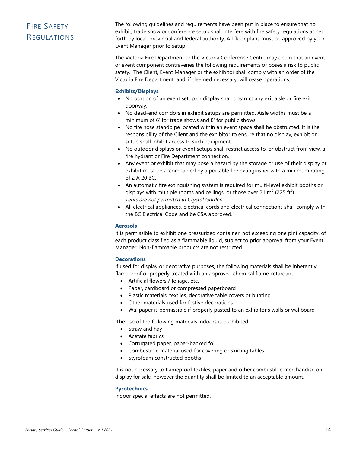# <span id="page-19-0"></span>FIRE SAFETY **REGULATIONS**

The following guidelines and requirements have been put in place to ensure that no exhibit, trade show or conference setup shall interfere with fire safety regulations as set forth by local, provincial and federal authority. All floor plans must be approved by your Event Manager prior to setup.

The Victoria Fire Department or the Victoria Conference Centre may deem that an event or event component contravenes the following requirements or poses a risk to public safety. The Client, Event Manager or the exhibitor shall comply with an order of the Victoria Fire Department, and, if deemed necessary, will cease operations.

#### **Exhibits/Displays**

- No portion of an event setup or display shall obstruct any exit aisle or fire exit doorway.
- No dead-end corridors in exhibit setups are permitted. Aisle widths must be a minimum of 6' for trade shows and 8' for public shows.
- No fire hose standpipe located within an event space shall be obstructed. It is the responsibility of the Client and the exhibitor to ensure that no display, exhibit or setup shall inhibit access to such equipment.
- No outdoor displays or event setups shall restrict access to, or obstruct from view, a fire hydrant or Fire Department connection.
- Any event or exhibit that may pose a hazard by the storage or use of their display or exhibit must be accompanied by a portable fire extinguisher with a minimum rating of 2 A 20 BC.
- An automatic fire extinguishing system is required for multi-level exhibit booths or displays with multiple rooms and ceilings, or those over 21  $m^2$  (225 ft<sup>2</sup>). *Tents are not permitted in Crystal Garden*
- All electrical appliances, electrical cords and electrical connections shall comply with the BC Electrical Code and be CSA approved.

#### **Aerosols**

It is permissible to exhibit one pressurized container, not exceeding one pint capacity, of each product classified as a flammable liquid, subject to prior approval from your Event Manager. Non-flammable products are not restricted.

#### **Decorations**

If used for display or decorative purposes, the following materials shall be inherently flameproof or properly treated with an approved chemical flame-retardant:

- Artificial flowers / foliage, etc.
- Paper, cardboard or compressed paperboard
- Plastic materials, textiles, decorative table covers or bunting
- Other materials used for festive decorations
- Wallpaper is permissible if properly pasted to an exhibitor's walls or wallboard

The use of the following materials indoors is prohibited:

- Straw and hay
- Acetate fabrics
- Corrugated paper, paper-backed foil
- Combustible material used for covering or skirting tables
- Styrofoam constructed booths

It is not necessary to flameproof textiles, paper and other combustible merchandise on display for sale, however the quantity shall be limited to an acceptable amount.

#### **Pyrotechnics**

Indoor special effects are not permitted.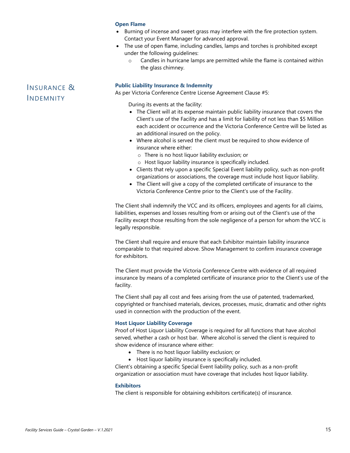#### **Open Flame**

- Burning of incense and sweet grass may interfere with the fire protection system. Contact your Event Manager for advanced approval.
- The use of open flame, including candles, lamps and torches is prohibited except under the following guidelines:
	- o Candles in hurricane lamps are permitted while the flame is contained within the glass chimney.

#### **Public Liability Insurance & Indemnity**

As per Victoria Conference Centre License Agreement Clause #5:

During its events at the facility:

- The Client will at its expense maintain public liability insurance that covers the Client's use of the Facility and has a limit for liability of not less than \$5 Million each accident or occurrence and the Victoria Conference Centre will be listed as an additional insured on the policy.
- Where alcohol is served the client must be required to show evidence of insurance where either:
	- o There is no host liquor liability exclusion; or
	- o Host liquor liability insurance is specifically included.
- Clients that rely upon a specific Special Event liability policy, such as non-profit organizations or associations, the coverage must include host liquor liability.
- The Client will give a copy of the completed certificate of insurance to the Victoria Conference Centre prior to the Client's use of the Facility.

The Client shall indemnify the VCC and its officers, employees and agents for all claims, liabilities, expenses and losses resulting from or arising out of the Client's use of the Facility except those resulting from the sole negligence of a person for whom the VCC is legally responsible.

The Client shall require and ensure that each Exhibitor maintain liability insurance comparable to that required above. Show Management to confirm insurance coverage for exhibitors.

The Client must provide the Victoria Conference Centre with evidence of all required insurance by means of a completed certificate of insurance prior to the Client's use of the facility.

The Client shall pay all cost and fees arising from the use of patented, trademarked, copyrighted or franchised materials, devices, processes, music, dramatic and other rights used in connection with the production of the event.

#### **Host Liquor Liability Coverage**

Proof of Host Liquor Liability Coverage is required for all functions that have alcohol served, whether a cash or host bar. Where alcohol is served the client is required to show evidence of insurance where either:

- There is no host liquor liability exclusion; or
- Host liquor liability insurance is specifically included.

Client's obtaining a specific Special Event liability policy, such as a non-profit organization or association must have coverage that includes host liquor liability.

#### **Exhibitors**

The client is responsible for obtaining exhibitors certificate(s) of insurance.

# <span id="page-20-0"></span>INSURANCE & INDEMNITY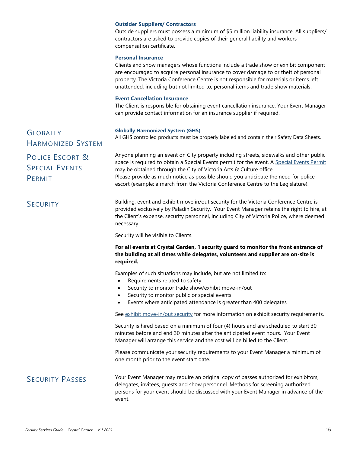#### **Outsider Suppliers/ Contractors**

Outside suppliers must possess a minimum of \$5 million liability insurance. All suppliers/ contractors are asked to provide copies of their general liability and workers compensation certificate.

#### **Personal Insurance**

Clients and show managers whose functions include a trade show or exhibit component are encouraged to acquire personal insurance to cover damage to or theft of personal property. The Victoria Conference Centre is not responsible for materials or items left unattended, including but not limited to, personal items and trade show materials.

#### **Event Cancellation Insurance**

The Client is responsible for obtaining event cancellation insurance. Your Event Manager can provide contact information for an insurance supplier if required.

#### **Globally Harmonized System (GHS)**

All GHS controlled products must be properly labeled and contain their Safety Data Sheets.

Anyone planning an event on City property including streets, sidewalks and other public space is required to obtain a Special Events permit for the event. A [Special Events Permit](http://www.victoria.ca/EN/main/residents/culture/permits.html)

Please provide as much notice as possible should you anticipate the need for police escort (example: a march from the Victoria Conference Centre to the Legislature).

GLOBALLY HARMONIZED SYSTEM

<span id="page-21-0"></span>POLICE ESCORT & SPECIAL EVENTS PERMIT

<span id="page-21-1"></span>SECURITY Building, event and exhibit move in/out security for the Victoria Conference Centre is provided exclusively by Paladin Security. Your Event Manager retains the right to hire, at the Client's expense, security personnel, including City of Victoria Police, where deemed necessary.

Security will be visible to Clients.

#### **For all events at Crystal Garden, 1 security guard to monitor the front entrance of the building at all times while delegates, volunteers and supplier are on-site is required.**

Examples of such situations may include, but are not limited to:

may be obtained through the City of Victoria Arts & Culture office.

- Requirements related to safety
- Security to monitor trade show/exhibit move-in/out
- Security to monitor public or special events
- Events where anticipated attendance is greater than 400 delegates

See [exhibit move-in/out security](#page-10-0) for more information on exhibit security requirements.

Security is hired based on a minimum of four (4) hours and are scheduled to start 30 minutes before and end 30 minutes after the anticipated event hours. Your Event Manager will arrange this service and the cost will be billed to the Client.

Please communicate your security requirements to your Event Manager a minimum of one month prior to the event start date.

<span id="page-21-2"></span>SECURITY PASSES Your Event Manager may require an original copy of passes authorized for exhibitors, delegates, invitees, guests and show personnel. Methods for screening authorized persons for your event should be discussed with your Event Manager in advance of the event.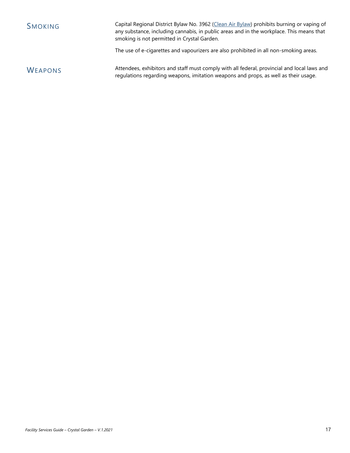<span id="page-22-0"></span>

| SMOKING | Capital Regional District Bylaw No. 3962 (Clean Air Bylaw) prohibits burning or vaping of<br>any substance, including cannabis, in public areas and in the workplace. This means that<br>smoking is not permitted in Crystal Garden. |
|---------|--------------------------------------------------------------------------------------------------------------------------------------------------------------------------------------------------------------------------------------|
|         |                                                                                                                                                                                                                                      |

The use of e-cigarettes and vapourizers are also prohibited in all non-smoking areas.

<span id="page-22-1"></span>WEAPONS Attendees, exhibitors and staff must comply with all federal, provincial and local laws and regulations regarding weapons, imitation weapons and props, as well as their usage.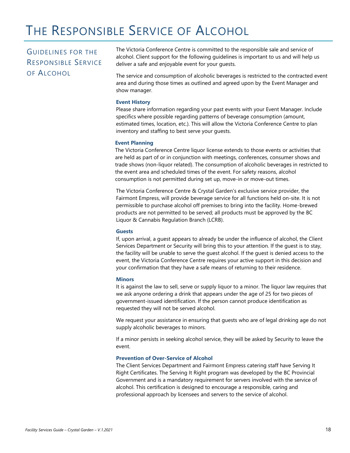# THE RESPONSIBLE SERVICE OF ALCOHOL

# <span id="page-23-0"></span>GUIDELINES FOR THE RESPONSIBLE SERVICE OF ALCOHOL

The Victoria Conference Centre is committed to the responsible sale and service of alcohol. Client support for the following guidelines is important to us and will help us deliver a safe and enjoyable event for your guests.

The service and consumption of alcoholic beverages is restricted to the contracted event area and during those times as outlined and agreed upon by the Event Manager and show manager.

#### **Event History**

Please share information regarding your past events with your Event Manager. Include specifics where possible regarding patterns of beverage consumption (amount, estimated times, location, etc.). This will allow the Victoria Conference Centre to plan inventory and staffing to best serve your guests.

#### **Event Planning**

The Victoria Conference Centre liquor license extends to those events or activities that are held as part of or in conjunction with meetings, conferences, consumer shows and trade shows (non-liquor related). The consumption of alcoholic beverages in restricted to the event area and scheduled times of the event. For safety reasons, alcohol consumption is not permitted during set up, move-in or move-out times.

The Victoria Conference Centre & Crystal Garden's exclusive service provider, the Fairmont Empress, will provide beverage service for all functions held on-site. It is not permissible to purchase alcohol off premises to bring into the facility. Home-brewed products are not permitted to be served; all products must be approved by the BC Liquor & Cannabis Regulation Branch (LCRB).

#### **Guests**

If, upon arrival, a guest appears to already be under the influence of alcohol, the Client Services Department or Security will bring this to your attention. If the guest is to stay, the facility will be unable to serve the guest alcohol. If the guest is denied access to the event, the Victoria Conference Centre requires your active support in this decision and your confirmation that they have a safe means of returning to their residence.

#### **Minors**

It is against the law to sell, serve or supply liquor to a minor. The liquor law requires that we ask anyone ordering a drink that appears under the age of 25 for two pieces of government-issued identification. If the person cannot produce identification as requested they will not be served alcohol.

We request your assistance in ensuring that guests who are of legal drinking age do not supply alcoholic beverages to minors.

If a minor persists in seeking alcohol service, they will be asked by Security to leave the event.

#### **Prevention of Over-Service of Alcohol**

The Client Services Department and Fairmont Empress catering staff have Serving It Right Certificates. The Serving It Right program was developed by the BC Provincial Government and is a mandatory requirement for servers involved with the service of alcohol. This certification is designed to encourage a responsible, caring and professional approach by licensees and servers to the service of alcohol.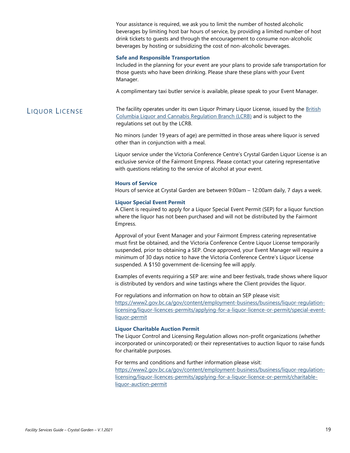Your assistance is required, we ask you to limit the number of hosted alcoholic beverages by limiting host bar hours of service, by providing a limited number of host drink tickets to guests and through the encouragement to consume non-alcoholic beverages by hosting or subsidizing the cost of non-alcoholic beverages.

#### **Safe and Responsible Transportation**

Included in the planning for your event are your plans to provide safe transportation for those guests who have been drinking. Please share these plans with your Event Manager.

A complimentary taxi butler service is available, please speak to your Event Manager.

#### <span id="page-24-0"></span>LIQUOR LICENSE The facility operates under its own Liquor Primary Liquor License, issued by the British [Columbia Liquor and Cannabis Regulation Branch \(LCRB\)](https://www2.gov.bc.ca/gov/content/employment-business/business/liquor-regulation-licensing) and is subject to the regulations set out by the LCRB.

No minors (under 19 years of age) are permitted in those areas where liquor is served other than in conjunction with a meal.

Liquor service under the Victoria Conference Centre's Crystal Garden Liquor License is an exclusive service of the Fairmont Empress. Please contact your catering representative with questions relating to the service of alcohol at your event.

#### **Hours of Service**

Hours of service at Crystal Garden are between 9:00am – 12:00am daily, 7 days a week.

#### **Liquor Special Event Permit**

A Client is required to apply for a Liquor Special Event Permit (SEP) for a liquor function where the liquor has not been purchased and will not be distributed by the Fairmont Empress.

Approval of your Event Manager and your Fairmont Empress catering representative must first be obtained, and the Victoria Conference Centre Liquor License temporarily suspended, prior to obtaining a SEP. Once approved, your Event Manager will require a minimum of 30 days notice to have the Victoria Conference Centre's Liquor License suspended. A \$150 government de-licensing fee will apply.

Examples of events requiring a SEP are: wine and beer festivals, trade shows where liquor is distributed by vendors and wine tastings where the Client provides the liquor.

For regulations and information on how to obtain an SEP please visit: [https://www2.gov.bc.ca/gov/content/employment-business/business/liquor-regulation](https://www2.gov.bc.ca/gov/content/employment-business/business/liquor-regulation-licensing/liquor-licences-permits/applying-for-a-liquor-licence-or-permit/special-event-liquor-permit)[licensing/liquor-licences-permits/applying-for-a-liquor-licence-or-permit/special-event](https://www2.gov.bc.ca/gov/content/employment-business/business/liquor-regulation-licensing/liquor-licences-permits/applying-for-a-liquor-licence-or-permit/special-event-liquor-permit)[liquor-permit](https://www2.gov.bc.ca/gov/content/employment-business/business/liquor-regulation-licensing/liquor-licences-permits/applying-for-a-liquor-licence-or-permit/special-event-liquor-permit)

#### **Liquor Charitable Auction Permit**

The Liquor Control and Licensing Regulation allows non-profit organizations (whether incorporated or unincorporated) or their representatives to auction liquor to raise funds for charitable purposes.

For terms and conditions and further information please visit: [https://www2.gov.bc.ca/gov/content/employment-business/business/liquor-regulation](https://www2.gov.bc.ca/gov/content/employment-business/business/liquor-regulation-licensing/liquor-licences-permits/applying-for-a-liquor-licence-or-permit/charitable-liquor-auction-permit)[licensing/liquor-licences-permits/applying-for-a-liquor-licence-or-permit/charitable-](https://www2.gov.bc.ca/gov/content/employment-business/business/liquor-regulation-licensing/liquor-licences-permits/applying-for-a-liquor-licence-or-permit/charitable-liquor-auction-permit)

[liquor-auction-permit](https://www2.gov.bc.ca/gov/content/employment-business/business/liquor-regulation-licensing/liquor-licences-permits/applying-for-a-liquor-licence-or-permit/charitable-liquor-auction-permit)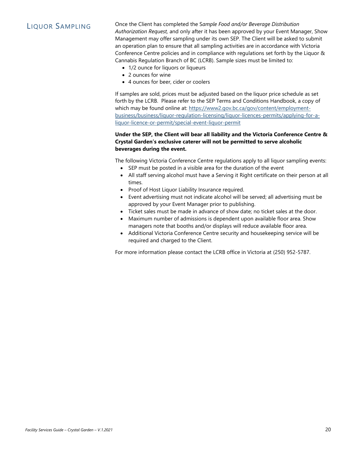<span id="page-25-0"></span>LIQUOR SAMPLING Once the Client has completed the S*ample Food and/or Beverage Distribution Authorization Request,* and only after it has been approved by your Event Manager, Show Management may offer sampling under its own SEP. The Client will be asked to submit an operation plan to ensure that all sampling activities are in accordance with Victoria Conference Centre policies and in compliance with regulations set forth by the Liquor & Cannabis Regulation Branch of BC (LCRB). Sample sizes must be limited to:

- 1/2 ounce for liquors or liqueurs
- 2 ounces for wine
- 4 ounces for beer, cider or coolers

If samples are sold, prices must be adjusted based on the liquor price schedule as set forth by the LCRB. Please refer to the SEP Terms and Conditions Handbook, a copy of which may be found online at: [https://www2.gov.bc.ca/gov/content/employment](https://www2.gov.bc.ca/gov/content/employment-business/business/liquor-regulation-licensing/liquor-licences-permits/applying-for-a-liquor-licence-or-permit/special-event-liquor-permit)[business/business/liquor-regulation-licensing/liquor-licences-permits/applying-for-a](https://www2.gov.bc.ca/gov/content/employment-business/business/liquor-regulation-licensing/liquor-licences-permits/applying-for-a-liquor-licence-or-permit/special-event-liquor-permit)[liquor-licence-or-permit/special-event-liquor-permit](https://www2.gov.bc.ca/gov/content/employment-business/business/liquor-regulation-licensing/liquor-licences-permits/applying-for-a-liquor-licence-or-permit/special-event-liquor-permit)

#### **Under the SEP, the Client will bear all liability and the Victoria Conference Centre & Crystal Garden's exclusive caterer will not be permitted to serve alcoholic beverages during the event.**

The following Victoria Conference Centre regulations apply to all liquor sampling events:

- SEP must be posted in a visible area for the duration of the event
- All staff serving alcohol must have a Serving it Right certificate on their person at all times.
- Proof of Host Liquor Liability Insurance required.
- Event advertising must not indicate alcohol will be served; all advertising must be approved by your Event Manager prior to publishing.
- Ticket sales must be made in advance of show date; no ticket sales at the door.
- Maximum number of admissions is dependent upon available floor area. Show managers note that booths and/or displays will reduce available floor area.
- Additional Victoria Conference Centre security and housekeeping service will be required and charged to the Client.

For more information please contact the LCRB office in Victoria at (250) 952-5787.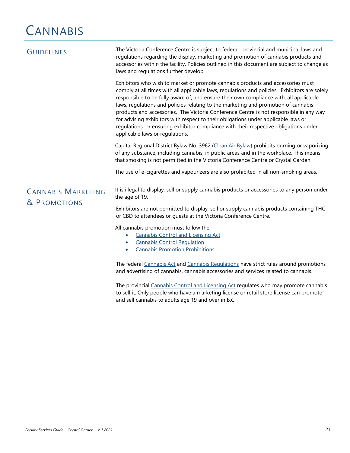# **CANNABIS**

<span id="page-26-1"></span><span id="page-26-0"></span>

| <b>GUIDELINES</b>                         | The Victoria Conference Centre is subject to federal, provincial and municipal laws and<br>regulations regarding the display, marketing and promotion of cannabis products and<br>accessories within the facility. Policies outlined in this document are subject to change as<br>laws and regulations further develop.                                                                                                                                                                                                                                                                                                                                                      |  |
|-------------------------------------------|------------------------------------------------------------------------------------------------------------------------------------------------------------------------------------------------------------------------------------------------------------------------------------------------------------------------------------------------------------------------------------------------------------------------------------------------------------------------------------------------------------------------------------------------------------------------------------------------------------------------------------------------------------------------------|--|
|                                           | Exhibitors who wish to market or promote cannabis products and accessories must<br>comply at all times with all applicable laws, regulations and policies. Exhibitors are solely<br>responsible to be fully aware of, and ensure their own compliance with, all applicable<br>laws, regulations and policies relating to the marketing and promotion of cannabis<br>products and accessories. The Victoria Conference Centre is not responsible in any way<br>for advising exhibitors with respect to their obligations under applicable laws or<br>regulations, or ensuring exhibitor compliance with their respective obligations under<br>applicable laws or regulations. |  |
|                                           | Capital Regional District Bylaw No. 3962 (Clean Air Bylaw) prohibits burning or vaporizing<br>of any substance, including cannabis, in public areas and in the workplace. This means<br>that smoking is not permitted in the Victoria Conference Centre or Crystal Garden.                                                                                                                                                                                                                                                                                                                                                                                                   |  |
|                                           | The use of e-cigarettes and vapourizers are also prohibited in all non-smoking areas.                                                                                                                                                                                                                                                                                                                                                                                                                                                                                                                                                                                        |  |
| <b>CANNABIS MARKETING</b><br>& PROMOTIONS | It is illegal to display, sell or supply cannabis products or accessories to any person under<br>the age of 19.                                                                                                                                                                                                                                                                                                                                                                                                                                                                                                                                                              |  |
|                                           | Exhibitors are not permitted to display, sell or supply cannabis products containing THC<br>or CBD to attendees or guests at the Victoria Conference Centre.                                                                                                                                                                                                                                                                                                                                                                                                                                                                                                                 |  |
|                                           | All cannabis promotion must follow the:<br><b>Cannabis Control and Licensing Act</b><br><b>Cannabis Control Requlation</b><br><b>Cannabis Promotion Prohibitions</b><br>$\bullet$                                                                                                                                                                                                                                                                                                                                                                                                                                                                                            |  |
|                                           | The federal Cannabis Act and Cannabis Regulations have strict rules around promotions<br>and advertising of cannabis, cannabis accessories and services related to cannabis.                                                                                                                                                                                                                                                                                                                                                                                                                                                                                                 |  |
|                                           | The provincial Cannabis Control and Licensing Act regulates who may promote cannabis<br>to sell it. Only people who have a marketing license or retail store license can promote<br>and sell cannabis to adults age 19 and over in B.C.                                                                                                                                                                                                                                                                                                                                                                                                                                      |  |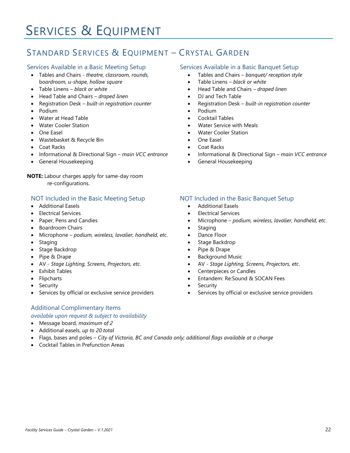# SERVICES & EQUIPMENT

# <span id="page-27-0"></span>STANDARD SERVICES & EQUIPMENT – CRYSTAL GARDEN

#### Services Available in a Basic Meeting Setup

- Tables and Chairs *theatre, classroom, rounds,* b*oardroom, u-shape, hollow square*
- Table Linens *black or white*
- Head Table and Chairs *draped linen*
- Registration Desk *built-in registration counter*
- Podium
- Water at Head Table
- Water Cooler Station
- One Easel
- Wastebasket & Recycle Bin
- Coat Racks
- Informational & Directional Sign *main VCC entrance*
- General Housekeeping

**NOTE:** Labour charges apply for same-day room re-configurations.

#### NOT Included in the Basic Meeting Setup

- Additional Easels
- Electrical Services
- Paper, Pens and Candies
- Boardroom Chairs
- Microphone *podium, wireless, lavalier, handheld, etc*.
- Staging
- Stage Backdrop
- Pipe & Drape
- AV *Stage Lighting, Screens, Projectors, etc.*
- Exhibit Tables
- **Flipcharts**
- **Security**
- Services by official or exclusive service providers

### Additional Complimentary Items

#### *available upon request & subject to availability*

- Message board, *maximum of 2*
- Additional easels, *up to 20 total*
- Flags, bases and poles *City of Victoria, BC and Canada only; additional flags available at a charge*
- Cocktail Tables in Prefunction Areas

#### Services Available in a Basic Banquet Setup

- Tables and Chairs *banquet/ reception style*
- Table Linens *black or white*
- Head Table and Chairs *draped linen*
- DJ and Tech Table
- Registration Desk *built-in registration counter*
- Podium
- Cocktail Tables
- Water Service with Meals
- Water Cooler Station
- One Easel
- Coat Racks
- Informational & Directional Sign *main VCC entrance*
- General Housekeeping

#### NOT Included in the Basic Banquet Setup

- Additional Easels
- Electrical Services
- Microphone *podium, wireless, lavalier, handheld, etc*.
- **Staging**
- Dance Floor
- Stage Backdrop
- Pipe & Drape
- Background Music
- AV *Stage Lighting, Screens, Projectors, etc*.
- Centerpieces or Candles
- [Entandem: Re:Sound &](#page-16-0) SOCAN Fees
- **Security**
- Services by official or exclusive service providers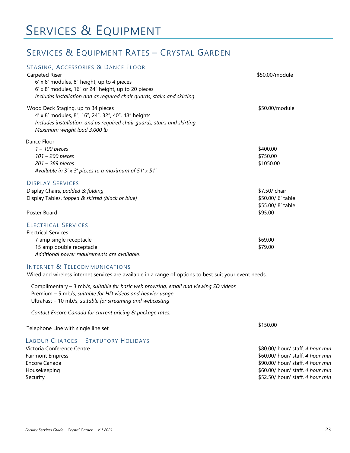# SERVICES & EQUIPMENT

# <span id="page-28-0"></span>SERVICES & EQUIPMENT RATES – CRYSTAL GARDEN

| STAGING, ACCESSORIES & DANCE FLOOR<br>Carpeted Riser<br>6' x 8' modules, 8" height, up to 4 pieces<br>6' x 8' modules, 16" or 24" height, up to 20 pieces<br>Includes installation and as required chair guards, stairs and skirting | \$50.00/module                                                   |
|--------------------------------------------------------------------------------------------------------------------------------------------------------------------------------------------------------------------------------------|------------------------------------------------------------------|
| Wood Deck Staging, up to 34 pieces<br>4' x 8' modules, 8", 16", 24", 32", 40", 48" heights<br>Includes installation, and as required chair guards, stairs and skirting<br>Maximum weight load 3,000 lb                               | \$50.00/module                                                   |
| Dance Floor<br>$1 - 100$ pieces<br>101 - 200 pieces<br>201 - 289 pieces<br>Available in $3'$ x $3'$ pieces to a maximum of $51'$ x $51'$                                                                                             | \$400.00<br>\$750.00<br>\$1050.00                                |
| <b>DISPLAY SERVICES</b><br>Display Chairs, padded & folding<br>Display Tables, topped & skirted (black or blue)<br>Poster Board                                                                                                      | \$7.50/ chair<br>\$50.00/6' table<br>\$55.00/8' table<br>\$95.00 |
| <b>ELECTRICAL SERVICES</b><br><b>Electrical Services</b><br>7 amp single receptacle<br>15 amp double receptacle<br>Additional power requirements are available.                                                                      | \$69.00<br>\$79.00                                               |

#### INTERNET & TELECOMMUNICATIONS

Wired and wireless internet services are available in a range of options to best suit your event needs.

Complimentary – 3 mb/s, *suitable for basic web browsing, email and viewing SD videos* Premium – 5 mb/s, *suitable for HD videos and heavier usage* UltraFast – 10 mb/s, *suitable for streaming and webcasting*

*Contact Encore Canada for current pricing & package rates.*

Telephone Line with single line set

### LABOUR CHARGES – STATUTORY HOLIDAYS

Victoria Conference Centre Fairmont Empress Encore Canada Housekeeping Security

\$150.00

\$80.00/ hour/ staff, *4 hour min*  \$60.00/ hour/ staff, *4 hour min*  \$90.00/ hour/ staff, *4 hour min*  \$60.00/ hour/ staff, *4 hour min*  \$52.50/ hour/ staff, *4 hour min*